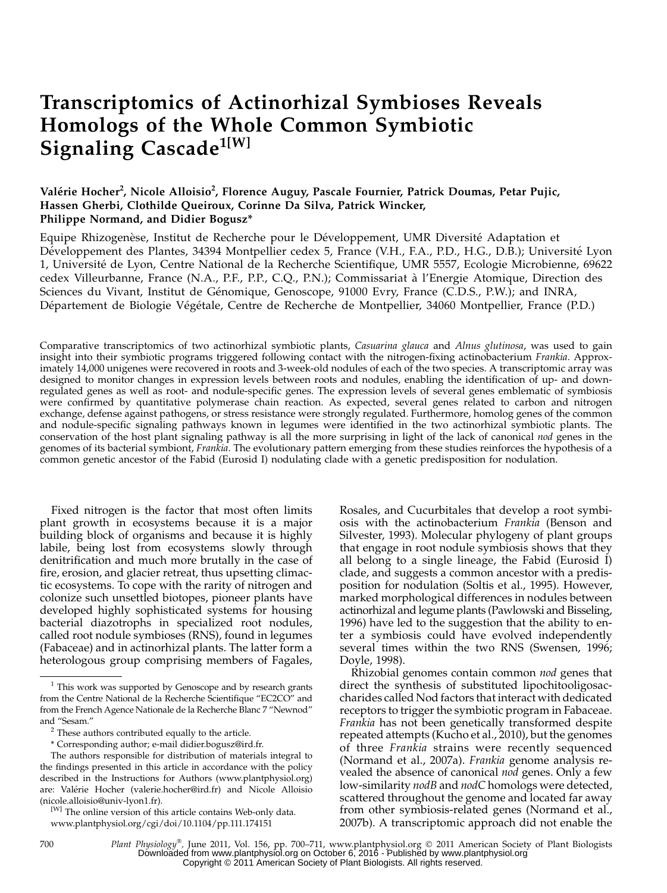# Transcriptomics of Actinorhizal Symbioses Reveals Homologs of the Whole Common Symbiotic Signaling Cascade<sup>1[W]</sup>

# Valérie Hocher<sup>2</sup>, Nicole Alloisio<sup>2</sup>, Florence Auguy, Pascale Fournier, Patrick Doumas, Petar Pujic, Hassen Gherbi, Clothilde Queiroux, Corinne Da Silva, Patrick Wincker, Philippe Normand, and Didier Bogusz\*

Equipe Rhizogenèse, Institut de Recherche pour le Développement, UMR Diversité Adaptation et Développement des Plantes, 34394 Montpellier cedex 5, France (V.H., F.A., P.D., H.G., D.B.); Université Lyon 1, Universite´ de Lyon, Centre National de la Recherche Scientifique, UMR 5557, Ecologie Microbienne, 69622 cedex Villeurbanne, France (N.A., P.F., P.P., C.Q., P.N.); Commissariat a` l'Energie Atomique, Direction des Sciences du Vivant, Institut de Génomique, Genoscope, 91000 Evry, France (C.D.S., P.W.); and INRA, Département de Biologie Végétale, Centre de Recherche de Montpellier, 34060 Montpellier, France (P.D.)

Comparative transcriptomics of two actinorhizal symbiotic plants, Casuarina glauca and Alnus glutinosa, was used to gain insight into their symbiotic programs triggered following contact with the nitrogen-fixing actinobacterium Frankia. Approximately 14,000 unigenes were recovered in roots and 3-week-old nodules of each of the two species. A transcriptomic array was designed to monitor changes in expression levels between roots and nodules, enabling the identification of up- and downregulated genes as well as root- and nodule-specific genes. The expression levels of several genes emblematic of symbiosis were confirmed by quantitative polymerase chain reaction. As expected, several genes related to carbon and nitrogen exchange, defense against pathogens, or stress resistance were strongly regulated. Furthermore, homolog genes of the common and nodule-specific signaling pathways known in legumes were identified in the two actinorhizal symbiotic plants. The conservation of the host plant signaling pathway is all the more surprising in light of the lack of canonical *nod* genes in the genomes of its bacterial symbiont, Frankia. The evolutionary pattern emerging from these studies reinforces the hypothesis of a common genetic ancestor of the Fabid (Eurosid I) nodulating clade with a genetic predisposition for nodulation.

Fixed nitrogen is the factor that most often limits plant growth in ecosystems because it is a major building block of organisms and because it is highly labile, being lost from ecosystems slowly through denitrification and much more brutally in the case of fire, erosion, and glacier retreat, thus upsetting climactic ecosystems. To cope with the rarity of nitrogen and colonize such unsettled biotopes, pioneer plants have developed highly sophisticated systems for housing bacterial diazotrophs in specialized root nodules, called root nodule symbioses (RNS), found in legumes (Fabaceae) and in actinorhizal plants. The latter form a heterologous group comprising members of Fagales,

Rosales, and Cucurbitales that develop a root symbiosis with the actinobacterium Frankia (Benson and Silvester, 1993). Molecular phylogeny of plant groups that engage in root nodule symbiosis shows that they all belong to a single lineage, the Fabid (Eurosid I) clade, and suggests a common ancestor with a predisposition for nodulation (Soltis et al., 1995). However, marked morphological differences in nodules between actinorhizal and legume plants (Pawlowski and Bisseling, 1996) have led to the suggestion that the ability to enter a symbiosis could have evolved independently several times within the two RNS (Swensen, 1996; Doyle, 1998).

Rhizobial genomes contain common nod genes that direct the synthesis of substituted lipochitooligosaccharides called Nod factors that interact with dedicated receptors to trigger the symbiotic program in Fabaceae. Frankia has not been genetically transformed despite repeated attempts (Kucho et al., 2010), but the genomes of three Frankia strains were recently sequenced (Normand et al., 2007a). Frankia genome analysis revealed the absence of canonical nod genes. Only a few low-similarity nodB and nodC homologs were detected, scattered throughout the genome and located far away from other symbiosis-related genes (Normand et al., 2007b). A transcriptomic approach did not enable the

700 Plant Physiology®, June 2011, Vol. 156, pp. 700-711, www.plantphysiol.org © 2011 American Society of Plant Biologists Downloaded from [www.plantphysiol.org](http://www.plantphysiol.org/) on October 6, 2016 - Published by [www.plantphysiol.org](http://www.plantphysiol.org) Copyright © 2011 American Society of Plant Biologists. All rights reserved.

 $1$  This work was supported by Genoscope and by research grants from the Centre National de la Recherche Scientifique "EC2CO" and from the French Agence Nationale de la Recherche Blanc 7 "Newnod"

 $2$  These authors contributed equally to the article.

<sup>\*</sup> Corresponding author; e-mail didier.bogusz@ird.fr.

The authors responsible for distribution of materials integral to the findings presented in this article in accordance with the policy described in the Instructions for Authors (www.plantphysiol.org) are: Valérie Hocher (valerie.hocher@ird.fr) and Nicole Alloisio (nicole.alloisio@univ-lyon1.fr).

<sup>&</sup>lt;sup>[W]</sup> The online version of this article contains Web-only data. www.plantphysiol.org/cgi/doi/10.1104/pp.111.174151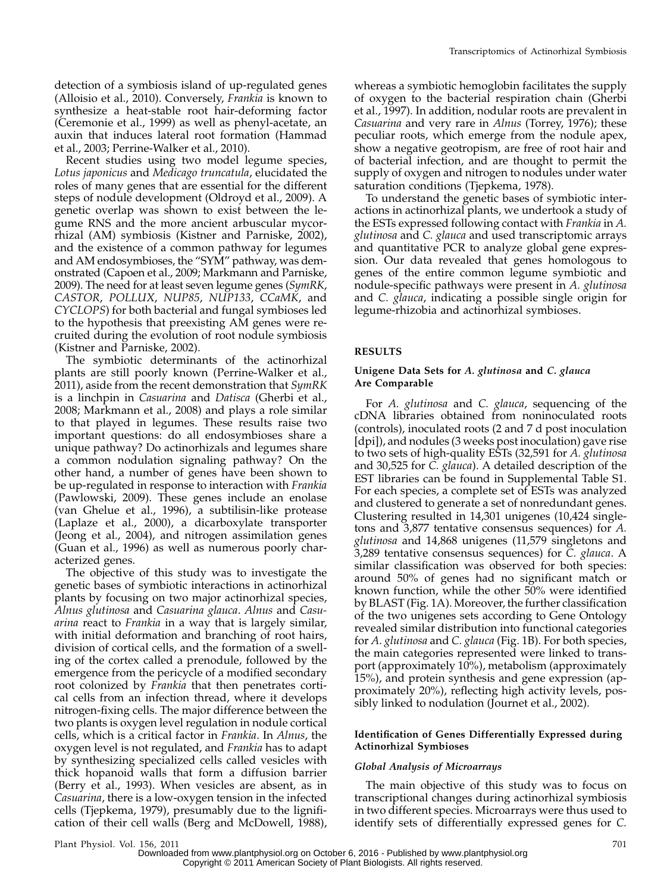detection of a symbiosis island of up-regulated genes (Alloisio et al., 2010). Conversely, Frankia is known to synthesize a heat-stable root hair-deforming factor (Ceremonie et al., 1999) as well as phenyl-acetate, an auxin that induces lateral root formation (Hammad et al., 2003; Perrine-Walker et al., 2010).

Recent studies using two model legume species, Lotus japonicus and Medicago truncatula, elucidated the roles of many genes that are essential for the different steps of nodule development (Oldroyd et al., 2009). A genetic overlap was shown to exist between the legume RNS and the more ancient arbuscular mycorrhizal (AM) symbiosis (Kistner and Parniske, 2002), and the existence of a common pathway for legumes and AM endosymbioses, the "SYM" pathway, was demonstrated (Capoen et al., 2009; Markmann and Parniske, 2009). The need for at least seven legume genes (SymRK, CASTOR, POLLUX, NUP85, NUP133, CCaMK, and CYCLOPS) for both bacterial and fungal symbioses led to the hypothesis that preexisting AM genes were recruited during the evolution of root nodule symbiosis (Kistner and Parniske, 2002).

The symbiotic determinants of the actinorhizal plants are still poorly known (Perrine-Walker et al., 2011), aside from the recent demonstration that  $SymRK$ is a linchpin in Casuarina and Datisca (Gherbi et al., 2008; Markmann et al., 2008) and plays a role similar to that played in legumes. These results raise two important questions: do all endosymbioses share a unique pathway? Do actinorhizals and legumes share a common nodulation signaling pathway? On the other hand, a number of genes have been shown to be up-regulated in response to interaction with Frankia (Pawlowski, 2009). These genes include an enolase (van Ghelue et al., 1996), a subtilisin-like protease (Laplaze et al., 2000), a dicarboxylate transporter (Jeong et al., 2004), and nitrogen assimilation genes (Guan et al., 1996) as well as numerous poorly characterized genes.

The objective of this study was to investigate the genetic bases of symbiotic interactions in actinorhizal plants by focusing on two major actinorhizal species, Alnus glutinosa and Casuarina glauca. Alnus and Casuarina react to Frankia in a way that is largely similar, with initial deformation and branching of root hairs, division of cortical cells, and the formation of a swelling of the cortex called a prenodule, followed by the emergence from the pericycle of a modified secondary root colonized by Frankia that then penetrates cortical cells from an infection thread, where it develops nitrogen-fixing cells. The major difference between the two plants is oxygen level regulation in nodule cortical cells, which is a critical factor in Frankia. In Alnus, the oxygen level is not regulated, and Frankia has to adapt by synthesizing specialized cells called vesicles with thick hopanoid walls that form a diffusion barrier (Berry et al., 1993). When vesicles are absent, as in Casuarina, there is a low-oxygen tension in the infected cells (Tjepkema, 1979), presumably due to the lignification of their cell walls (Berg and McDowell, 1988),

whereas a symbiotic hemoglobin facilitates the supply of oxygen to the bacterial respiration chain (Gherbi et al., 1997). In addition, nodular roots are prevalent in Casuarina and very rare in Alnus (Torrey, 1976); these peculiar roots, which emerge from the nodule apex, show a negative geotropism, are free of root hair and of bacterial infection, and are thought to permit the supply of oxygen and nitrogen to nodules under water saturation conditions (Tjepkema, 1978).

To understand the genetic bases of symbiotic interactions in actinorhizal plants, we undertook a study of the ESTs expressed following contact with Frankia in A. glutinosa and C. glauca and used transcriptomic arrays and quantitative PCR to analyze global gene expression. Our data revealed that genes homologous to genes of the entire common legume symbiotic and nodule-specific pathways were present in A. glutinosa and C. glauca, indicating a possible single origin for legume-rhizobia and actinorhizal symbioses.

# RESULTS

# Unigene Data Sets for A. glutinosa and C. glauca Are Comparable

For A. glutinosa and C. glauca, sequencing of the cDNA libraries obtained from noninoculated roots (controls), inoculated roots (2 and 7 d post inoculation [dpi]), and nodules (3 weeks post inoculation) gave rise to two sets of high-quality ESTs (32,591 for A. glutinosa and 30,525 for C. glauca). A detailed description of the EST libraries can be found in Supplemental Table S1. For each species, a complete set of ESTs was analyzed and clustered to generate a set of nonredundant genes. Clustering resulted in 14,301 unigenes (10,424 singletons and 3,877 tentative consensus sequences) for A. glutinosa and 14,868 unigenes (11,579 singletons and 3,289 tentative consensus sequences) for C. glauca. A similar classification was observed for both species: around 50% of genes had no significant match or known function, while the other 50% were identified by BLAST (Fig. 1A). Moreover, the further classification of the two unigenes sets according to Gene Ontology revealed similar distribution into functional categories for A. glutinosa and C. glauca (Fig. 1B). For both species, the main categories represented were linked to transport (approximately 10%), metabolism (approximately 15%), and protein synthesis and gene expression (approximately 20%), reflecting high activity levels, possibly linked to nodulation (Journet et al., 2002).

# Identification of Genes Differentially Expressed during Actinorhizal Symbioses

# Global Analysis of Microarrays

The main objective of this study was to focus on transcriptional changes during actinorhizal symbiosis in two different species. Microarrays were thus used to identify sets of differentially expressed genes for C.

Plant Physiol. Vol. 156, 2011 701

Downloaded from [www.plantphysiol.org](http://www.plantphysiol.org/) on October 6, 2016 - Published by [www.plantphysiol.org](http://www.plantphysiol.org) Copyright © 2011 American Society of Plant Biologists. All rights reserved.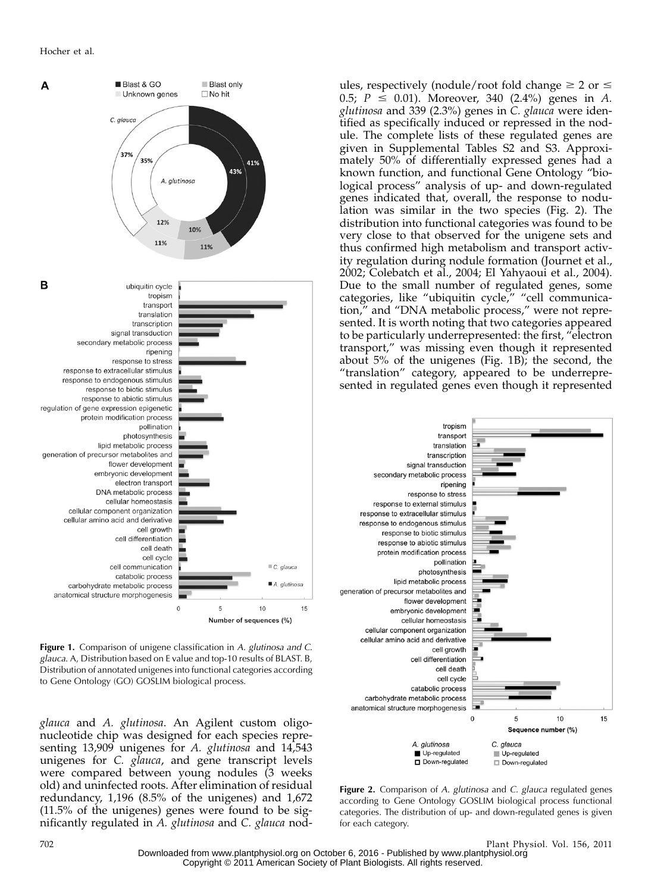

Figure 1. Comparison of unigene classification in A. glutinosa and C. glauca. A, Distribution based on E value and top-10 results of BLAST. B, Distribution of annotated unigenes into functional categories according to Gene Ontology (GO) GOSLIM biological process.

glauca and A. glutinosa. An Agilent custom oligonucleotide chip was designed for each species representing 13,909 unigenes for A. glutinosa and 14,543 unigenes for C. glauca, and gene transcript levels were compared between young nodules (3 weeks old) and uninfected roots. After elimination of residual redundancy, 1,196 (8.5% of the unigenes) and 1,672 (11.5% of the unigenes) genes were found to be significantly regulated in A. glutinosa and C. glauca nodules, respectively (nodule/root fold change  $\geq 2$  or  $\leq$ 0.5;  $P \le 0.01$ ). Moreover, 340 (2.4%) genes in A. glutinosa and 339 (2.3%) genes in C. glauca were identified as specifically induced or repressed in the nodule. The complete lists of these regulated genes are given in Supplemental Tables S2 and S3. Approximately 50% of differentially expressed genes had a known function, and functional Gene Ontology "biological process" analysis of up- and down-regulated genes indicated that, overall, the response to nodulation was similar in the two species (Fig. 2). The distribution into functional categories was found to be very close to that observed for the unigene sets and thus confirmed high metabolism and transport activity regulation during nodule formation (Journet et al., 2002; Colebatch et al., 2004; El Yahyaoui et al., 2004). Due to the small number of regulated genes, some categories, like "ubiquitin cycle," "cell communication," and "DNA metabolic process," were not represented. It is worth noting that two categories appeared to be particularly underrepresented: the first, "electron transport," was missing even though it represented about 5% of the unigenes (Fig. 1B); the second, the "translation" category, appeared to be underrepresented in regulated genes even though it represented



Figure 2. Comparison of A. glutinosa and C. glauca regulated genes according to Gene Ontology GOSLIM biological process functional categories. The distribution of up- and down-regulated genes is given for each category.

702 Plant Physiol. Vol. 156, 2011

Downloaded from [www.plantphysiol.org](http://www.plantphysiol.org/) on October 6, 2016 - Published by [www.plantphysiol.org](http://www.plantphysiol.org) Copyright © 2011 American Society of Plant Biologists. All rights reserved.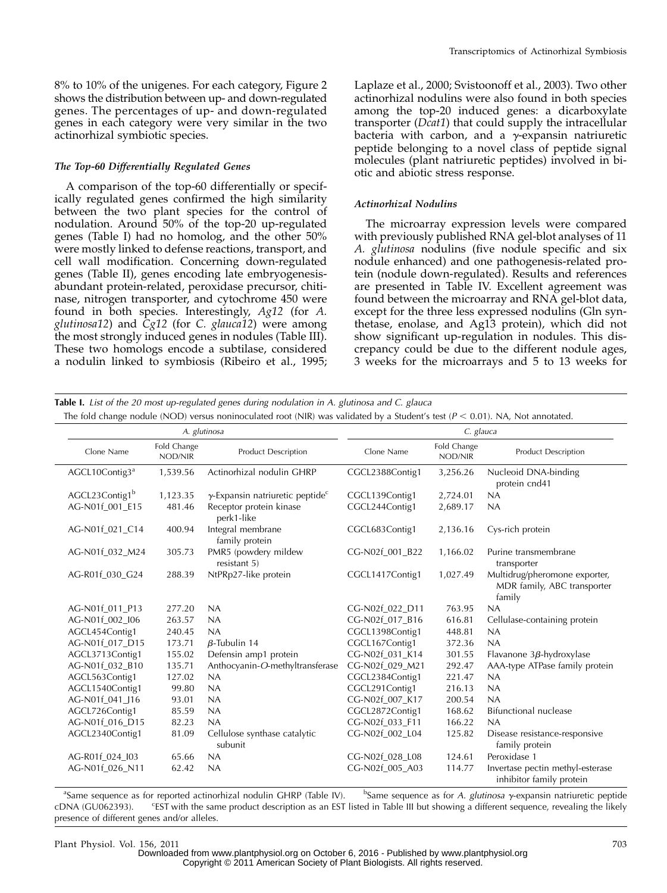8% to 10% of the unigenes. For each category, Figure 2 shows the distribution between up- and down-regulated genes. The percentages of up- and down-regulated genes in each category were very similar in the two actinorhizal symbiotic species.

## The Top-60 Differentially Regulated Genes

A comparison of the top-60 differentially or specifically regulated genes confirmed the high similarity between the two plant species for the control of nodulation. Around 50% of the top-20 up-regulated genes (Table I) had no homolog, and the other 50% were mostly linked to defense reactions, transport, and cell wall modification. Concerning down-regulated genes (Table II), genes encoding late embryogenesisabundant protein-related, peroxidase precursor, chitinase, nitrogen transporter, and cytochrome 450 were found in both species. Interestingly, Ag12 (for A. glutinosa12) and Cg12 (for C. glauca12) were among the most strongly induced genes in nodules (Table III). These two homologs encode a subtilase, considered a nodulin linked to symbiosis (Ribeiro et al., 1995;

Laplaze et al., 2000; Svistoonoff et al., 2003). Two other actinorhizal nodulins were also found in both species among the top-20 induced genes: a dicarboxylate transporter (*Dcat1*) that could supply the intracellular bacteria with carbon, and a  $\gamma$ -expansin natriuretic peptide belonging to a novel class of peptide signal molecules (plant natriuretic peptides) involved in biotic and abiotic stress response.

## Actinorhizal Nodulins

The microarray expression levels were compared with previously published RNA gel-blot analyses of 11 A. glutinosa nodulins (five nodule specific and six nodule enhanced) and one pathogenesis-related protein (nodule down-regulated). Results and references are presented in Table IV. Excellent agreement was found between the microarray and RNA gel-blot data, except for the three less expressed nodulins (Gln synthetase, enolase, and Ag13 protein), which did not show significant up-regulation in nodules. This discrepancy could be due to the different nodule ages, 3 weeks for the microarrays and 5 to 13 weeks for

Table I. List of the 20 most up-regulated genes during nodulation in A. glutinosa and C. glauca The fold change nodule (NOD) versus noninoculated root (NIR) was validated by a Student's test ( $P < 0.01$ ). NA, Not annotated.

|                            |                        | A. glutinosa                                        | C. glauca       |                        |                                                                        |  |
|----------------------------|------------------------|-----------------------------------------------------|-----------------|------------------------|------------------------------------------------------------------------|--|
| Clone Name                 | Fold Change<br>NOD/NIR | Product Description                                 | Clone Name      | Fold Change<br>NOD/NIR | Product Description                                                    |  |
| AGCL10Contig3 <sup>a</sup> | 1,539.56               | Actinorhizal nodulin GHRP                           | CGCL2388Contig1 | 3,256.26               | Nucleoid DNA-binding<br>protein cnd41                                  |  |
| AGCL23Contig1 <sup>b</sup> | 1,123.35               | $\gamma$ -Expansin natriuretic peptide <sup>c</sup> | CGCL139Contig1  | 2,724.01               | <b>NA</b>                                                              |  |
| AG-N01f_001_E15            | 481.46                 | Receptor protein kinase<br>perk1-like               | CGCL244Contig1  | 2,689.17               | NA                                                                     |  |
| AG-N01f 021 C14            | 400.94                 | Integral membrane<br>family protein                 | CGCL683Contig1  | 2,136.16               | Cys-rich protein                                                       |  |
| AG-N01f_032_M24            | 305.73                 | PMR5 (powdery mildew<br>resistant 5)                | CG-N02f 001 B22 | 1,166.02               | Purine transmembrane<br>transporter                                    |  |
| AG-R01f_030_G24            | 288.39                 | NtPRp27-like protein                                | CGCL1417Contig1 | 1,027.49               | Multidrug/pheromone exporter,<br>MDR family, ABC transporter<br>family |  |
| AG-N01f 011 P13            | 277.20                 | NA                                                  | CG-N02f 022 D11 | 763.95                 | NA                                                                     |  |
| AG-N01f_002_I06            | 263.57                 | <b>NA</b>                                           | CG-N02f_017_B16 | 616.81                 | Cellulase-containing protein                                           |  |
| AGCL454Contig1             | 240.45                 | <b>NA</b>                                           | CGCL1398Contig1 | 448.81                 | NA                                                                     |  |
| AG-N01f 017 D15            | 173.71                 | $\beta$ -Tubulin 14                                 | CGCL167Contig1  | 372.36                 | NA                                                                     |  |
| AGCL3713Contig1            | 155.02                 | Defensin amp1 protein                               | CG-N02f_031_K14 | 301.55                 | Flavanone $3\beta$ -hydroxylase                                        |  |
| AG-N01f_032_B10            | 135.71                 | Anthocyanin-O-methyltransferase                     | CG-N02f_029_M21 | 292.47                 | AAA-type ATPase family protein                                         |  |
| AGCL563Contig1             | 127.02                 | NA                                                  | CGCL2384Contig1 | 221.47                 | NA                                                                     |  |
| AGCL1540Contig1            | 99.80                  | NA                                                  | CGCL291Contig1  | 216.13                 | <b>NA</b>                                                              |  |
| AG-N01f_041_J16            | 93.01                  | NA                                                  | CG-N02f_007_K17 | 200.54                 | NA                                                                     |  |
| AGCL726Contig1             | 85.59                  | NA                                                  | CGCL2872Contig1 | 168.62                 | <b>Bifunctional nuclease</b>                                           |  |
| AG-N01f_016_D15            | 82.23                  | NA                                                  | CG-N02f 033 F11 | 166.22                 | NA                                                                     |  |
| AGCL2340Contig1            | 81.09                  | Cellulose synthase catalytic<br>subunit             | CG-N02f_002_L04 | 125.82                 | Disease resistance-responsive<br>family protein                        |  |
| AG-R01f_024_I03            | 65.66                  | NA                                                  | CG-N02f_028_L08 | 124.61                 | Peroxidase 1                                                           |  |
| AG-N01f 026 N11            | 62.42                  | <b>NA</b>                                           | CG-N02f 005 A03 | 114.77                 | Invertase pectin methyl-esterase<br>inhibitor family protein           |  |

<sup>a</sup>Same sequence as for reported actinorhizal nodulin GHRP (Table IV). b  $^{b}$ Same sequence as for A. glutinosa  $\gamma$ -expansin natriuretic peptide cDNA (GU062393). <sup>c</sup> EST with the same product description as an EST listed in Table III but showing a different sequence, revealing the likely presence of different genes and/or alleles.

Plant Physiol. Vol. 156, 2011 703 Downloaded from [www.plantphysiol.org](http://www.plantphysiol.org/) on October 6, 2016 - Published by [www.plantphysiol.org](http://www.plantphysiol.org) Copyright © 2011 American Society of Plant Biologists. All rights reserved.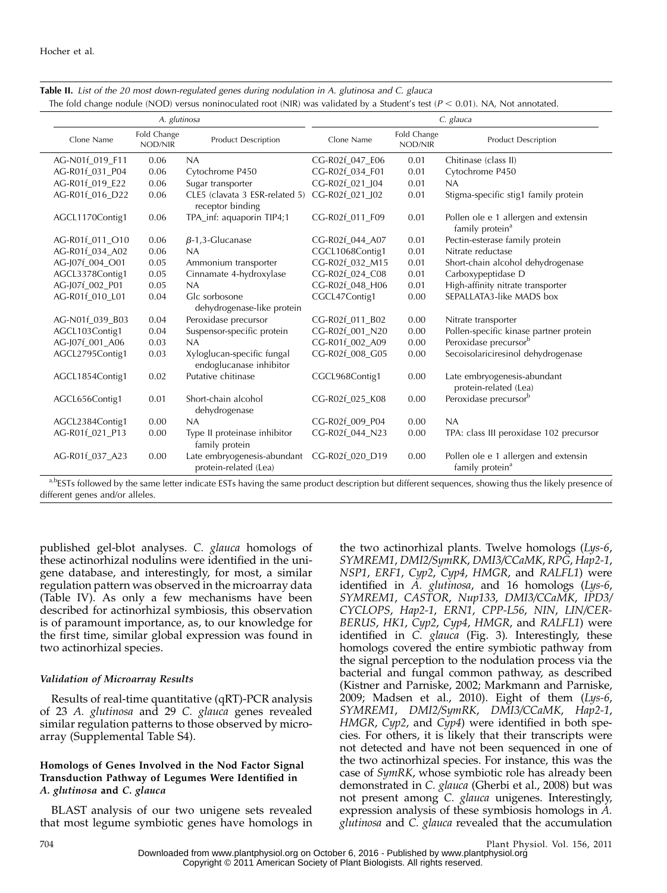|                 | A. glutinosa           |                                                       | C. glauca       |                        |                                                                     |  |
|-----------------|------------------------|-------------------------------------------------------|-----------------|------------------------|---------------------------------------------------------------------|--|
| Clone Name      | Fold Change<br>NOD/NIR | <b>Product Description</b>                            | Clone Name      | Fold Change<br>NOD/NIR | <b>Product Description</b>                                          |  |
| AG-N01f_019_F11 | 0.06                   | NA                                                    | CG-R02f_047_E06 | 0.01                   | Chitinase (class II)                                                |  |
| AG-R01f_031_P04 | 0.06                   | Cytochrome P450                                       | CG-R02f_034_F01 | 0.01                   | Cytochrome P450                                                     |  |
| AG-R01f 019 E22 | 0.06                   | Sugar transporter                                     | CG-R02f 021 J04 | 0.01                   | NA                                                                  |  |
| AG-R01f_016_D22 | 0.06                   | CLE5 (clavata 3 ESR-related 5)<br>receptor binding    | CG-R02f_021_J02 | 0.01                   | Stigma-specific stig1 family protein                                |  |
| AGCL1170Contig1 | 0.06                   | TPA_inf: aquaporin TIP4;1                             | CG-R02f 011 F09 | 0.01                   | Pollen ole e 1 allergen and extensin<br>family protein <sup>a</sup> |  |
| AG-R01f 011 O10 | 0.06                   | $\beta$ -1,3-Glucanase                                | CG-R02f 044 A07 | 0.01                   | Pectin-esterase family protein                                      |  |
| AG-R01f_034_A02 | 0.06                   | NA                                                    | CGCL1068Contig1 | 0.01                   | Nitrate reductase                                                   |  |
| AG-J07f_004_O01 | 0.05                   | Ammonium transporter                                  | CG-R02f_032_M15 | 0.01                   | Short-chain alcohol dehydrogenase                                   |  |
| AGCL3378Contig1 | 0.05                   | Cinnamate 4-hydroxylase                               | CG-R02f 024 C08 | 0.01                   | Carboxypeptidase D                                                  |  |
| AG-J07f 002 P01 | 0.05                   | NA                                                    | CG-R02f 048 H06 | 0.01                   | High-affinity nitrate transporter                                   |  |
| AG-R01f_010_L01 | 0.04                   | Glc sorbosone<br>dehydrogenase-like protein           | CGCL47Contig1   | 0.00                   | SEPALLATA3-like MADS box                                            |  |
| AG-N01f_039_B03 | 0.04                   | Peroxidase precursor                                  | CG-R02f_011_B02 | 0.00                   | Nitrate transporter                                                 |  |
| AGCL103Contig1  | 0.04                   | Suspensor-specific protein                            | CG-R02f_001_N20 | 0.00                   | Pollen-specific kinase partner protein                              |  |
| AG-J07f 001 A06 | 0.03                   | NA                                                    | CG-R01f 002 A09 | 0.00                   | Peroxidase precursor <sup>b</sup>                                   |  |
| AGCL2795Contig1 | 0.03                   | Xyloglucan-specific fungal<br>endoglucanase inhibitor | CG-R02f_008_G05 | 0.00                   | Secoisolariciresinol dehydrogenase                                  |  |
| AGCL1854Contig1 | 0.02                   | Putative chitinase                                    | CGCL968Contig1  | 0.00                   | Late embryogenesis-abundant<br>protein-related (Lea)                |  |
| AGCL656Contig1  | 0.01                   | Short-chain alcohol<br>dehydrogenase                  | CG-R02f_025_K08 | 0.00                   | Peroxidase precursor <sup>b</sup>                                   |  |
| AGCL2384Contig1 | 0.00                   | NA                                                    | CG-R02f 009 P04 | 0.00                   | NA                                                                  |  |
| AG-R01f_021_P13 | 0.00                   | Type II proteinase inhibitor<br>family protein        | CG-R02f_044_N23 | 0.00                   | TPA: class III peroxidase 102 precursor                             |  |
| AG-R01f_037_A23 | 0.00                   | Late embryogenesis-abundant<br>protein-related (Lea)  | CG-R02f_020_D19 | 0.00                   | Pollen ole e 1 allergen and extensin<br>family protein <sup>a</sup> |  |

Table II. List of the 20 most down-regulated genes during nodulation in A. glutinosa and C. glauca The fold change nodule (NOD) versus noninoculated root (NIR) was validated by a Student's test ( $P < 0.01$ ). NA, Not annotated.

a,bESTs followed by the same letter indicate ESTs having the same product description but different sequences, showing thus the likely presence of different genes and/or alleles.

published gel-blot analyses. C. glauca homologs of these actinorhizal nodulins were identified in the unigene database, and interestingly, for most, a similar regulation pattern was observed in the microarray data (Table IV). As only a few mechanisms have been described for actinorhizal symbiosis, this observation is of paramount importance, as, to our knowledge for the first time, similar global expression was found in two actinorhizal species.

## Validation of Microarray Results

Results of real-time quantitative (qRT)-PCR analysis of 23 A. glutinosa and 29 C. glauca genes revealed similar regulation patterns to those observed by microarray (Supplemental Table S4).

# Homologs of Genes Involved in the Nod Factor Signal Transduction Pathway of Legumes Were Identified in A. glutinosa and C. glauca

BLAST analysis of our two unigene sets revealed that most legume symbiotic genes have homologs in

the two actinorhizal plants. Twelve homologs (Lys-6, SYMREM1, DMI2/SymRK, DMI3/CCaMK, RPG, Hap2-1, NSP1, ERF1, Cyp2, Cyp4, HMGR, and RALFL1) were identified in A. glutinosa, and 16 homologs (Lys-6, SYMREM1, CASTOR, Nup133, DMI3/CCaMK, IPD3/ CYCLOPS, Hap2-1, ERN1, CPP-L56, NIN, LIN/CER-BERUS, HK1, Cyp2, Cyp4, HMGR, and RALFL1) were identified in C. glauca (Fig. 3). Interestingly, these homologs covered the entire symbiotic pathway from the signal perception to the nodulation process via the bacterial and fungal common pathway, as described (Kistner and Parniske, 2002; Markmann and Parniske, 2009; Madsen et al., 2010). Eight of them (Lys-6, SYMREM1, DMI2/SymRK, DMI3/CCaMK, Hap2-1, HMGR, Cyp2, and Cyp4) were identified in both species. For others, it is likely that their transcripts were not detected and have not been sequenced in one of the two actinorhizal species. For instance, this was the case of SymRK, whose symbiotic role has already been demonstrated in C. glauca (Gherbi et al., 2008) but was not present among C. glauca unigenes. Interestingly, expression analysis of these symbiosis homologs in A. glutinosa and C. glauca revealed that the accumulation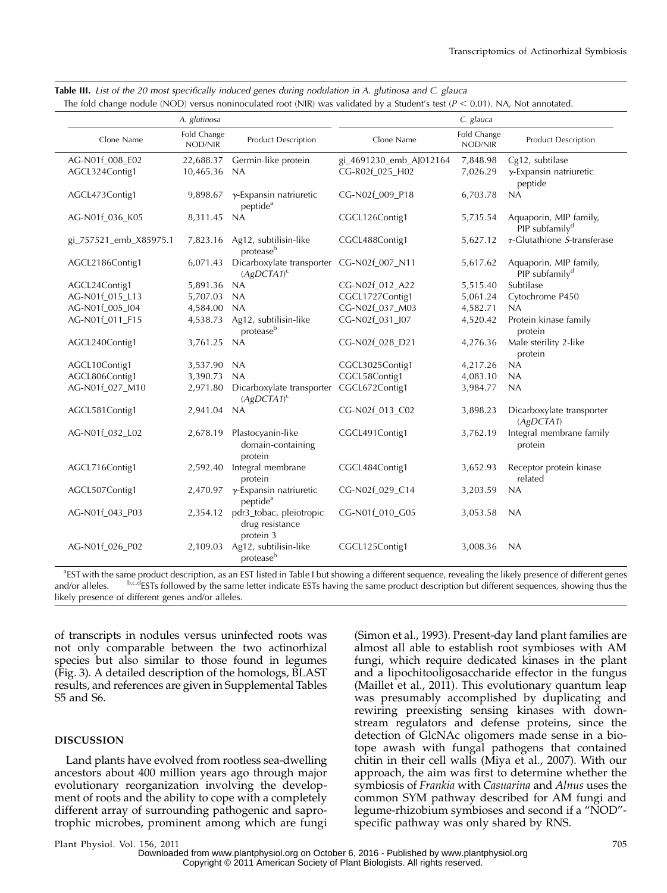|                                      | A. glutinosa |                                                | C. glauca               |                        |                                                      |  |
|--------------------------------------|--------------|------------------------------------------------|-------------------------|------------------------|------------------------------------------------------|--|
| Fold Change<br>Clone Name<br>NOD/NIR |              | Product Description                            | Clone Name              | Fold Change<br>NOD/NIR | Product Description                                  |  |
| AG-N01f_008_E02                      | 22,688.37    | Germin-like protein                            | gi_4691230_emb_AJ012164 | 7,848.98               | Cg12, subtilase                                      |  |
| AGCL324Contig1                       | 10,465.36    | NA                                             | CG-R02f_025_H02         | 7,026.29               | $\gamma$ -Expansin natriuretic                       |  |
|                                      |              |                                                |                         |                        | peptide                                              |  |
| AGCL473Contig1                       | 9,898.67     | $\gamma$ -Expansin natriuretic                 | CG-N02f_009_P18         | 6,703.78               | <b>NA</b>                                            |  |
|                                      |              | peptide <sup>a</sup>                           |                         |                        |                                                      |  |
| AG-N01f_036_K05                      | 8,311.45 NA  |                                                | CGCL126Contig1          | 5,735.54               | Aquaporin, MIP family,                               |  |
|                                      |              |                                                |                         |                        | PIP subfamily <sup>d</sup>                           |  |
| gi_757521_emb_X85975.1               | 7,823.16     | Ag12, subtilisin-like                          | CGCL488Contig1          | 5,627.12               | $\tau$ -Glutathione S-transferase                    |  |
|                                      |              | protease <sup>b</sup>                          |                         |                        |                                                      |  |
| AGCL2186Contig1                      | 6,071.43     | Dicarboxylate transporter<br>$(AgDCTA1)^c$     | CG-N02f_007_N11         | 5,617.62               | Aquaporin, MIP family,<br>PIP subfamily <sup>d</sup> |  |
| AGCL24Contig1                        | 5,891.36     | <b>NA</b>                                      | CG-N02f_012_A22         | 5,515.40               | Subtilase                                            |  |
| AG-N01f_015_L13                      | 5,707.03     | NA                                             | CGCL1727Contig1         | 5,061.24               | Cytochrome P450                                      |  |
| AG-N01f_005_I04                      | 4,584.00     | NA                                             | CG-N02f_037_M03         | 4,582.71               | NA                                                   |  |
| AG-N01f_011_F15                      | 4,538.73     | Ag12, subtilisin-like                          | CG-N02f_031_I07         | 4,520.42               | Protein kinase family                                |  |
|                                      |              | protease <sup>b</sup>                          |                         |                        | protein                                              |  |
| AGCL240Contig1                       | 3,761.25     | <b>NA</b>                                      | CG-N02f_028_D21         | 4,276.36               | Male sterility 2-like                                |  |
|                                      |              |                                                |                         |                        | protein                                              |  |
| AGCL10Contig1                        | 3,537.90     | <b>NA</b>                                      | CGCL3025Contig1         | 4,217.26               | NA                                                   |  |
| AGCL806Contig1                       | 3,390.73     | NA                                             | CGCL58Contig1           | 4,083.10               | NA                                                   |  |
| AG-N01f_027_M10                      | 2,971.80     | Dicarboxylate transporter                      | CGCL672Contig1          | 3,984.77               | NA                                                   |  |
|                                      |              | $(AgDCTA1)^c$                                  |                         |                        |                                                      |  |
| AGCL581Contig1                       | 2,941.04     | <b>NA</b>                                      | CG-N02f_013_C02         | 3,898.23               | Dicarboxylate transporter                            |  |
|                                      |              |                                                |                         |                        | (AgDCTA1)                                            |  |
| AG-N01f_032_L02                      | 2,678.19     | Plastocyanin-like                              | CGCL491Contig1          | 3,762.19               | Integral membrane family                             |  |
|                                      |              | domain-containing                              |                         |                        | protein                                              |  |
|                                      | protein      |                                                |                         |                        |                                                      |  |
| AGCL716Contig1                       | 2,592.40     | Integral membrane                              | CGCL484Contig1          | 3,652.93               | Receptor protein kinase                              |  |
|                                      |              | protein                                        |                         |                        | related                                              |  |
| AGCL507Contig1                       | 2,470.97     | $\gamma$ -Expansin natriuretic                 | CG-N02f_029_C14         | 3,203.59               | NA                                                   |  |
|                                      |              | peptide <sup>a</sup>                           |                         |                        |                                                      |  |
| AG-N01f_043_P03                      | 2,354.12     | pdr3_tobac, pleiotropic                        | CG-N01f_010_G05         | 3,053.58               | <b>NA</b>                                            |  |
|                                      |              | drug resistance                                |                         |                        |                                                      |  |
|                                      |              | protein 3                                      |                         |                        |                                                      |  |
| AG-N01f_026_P02                      | 2,109.03     | Ag12, subtilisin-like<br>protease <sup>b</sup> | CGCL125Contig1          | 3,008.36               | <b>NA</b>                                            |  |
|                                      |              |                                                |                         |                        |                                                      |  |

Table III. List of the 20 most specifically induced genes during nodulation in A. glutinosa and C. glauca The fold change nodule (NOD) versus noninoculated root (NIR) was validated by a Student's test ( $P < 0.01$ ). NA, Not annotated.

<sup>a</sup>EST with the same product description, as an EST listed in Table I but showing a different sequence, revealing the likely presence of different genes and/or alleles. <sup>b,c,d</sup>ESTs followed by the same letter indicate ESTs having the same product description but different sequences, showing thus the likely presence of different genes and/or alleles.

of transcripts in nodules versus uninfected roots was not only comparable between the two actinorhizal species but also similar to those found in legumes (Fig. 3). A detailed description of the homologs, BLAST results, and references are given in Supplemental Tables S5 and S6.

# DISCUSSION

Land plants have evolved from rootless sea-dwelling ancestors about 400 million years ago through major evolutionary reorganization involving the development of roots and the ability to cope with a completely different array of surrounding pathogenic and saprotrophic microbes, prominent among which are fungi

(Simon et al., 1993). Present-day land plant families are almost all able to establish root symbioses with AM fungi, which require dedicated kinases in the plant and a lipochitooligosaccharide effector in the fungus (Maillet et al., 2011). This evolutionary quantum leap was presumably accomplished by duplicating and rewiring preexisting sensing kinases with downstream regulators and defense proteins, since the detection of GlcNAc oligomers made sense in a biotope awash with fungal pathogens that contained chitin in their cell walls (Miya et al., 2007). With our approach, the aim was first to determine whether the symbiosis of Frankia with Casuarina and Alnus uses the common SYM pathway described for AM fungi and legume-rhizobium symbioses and second if a "NOD" specific pathway was only shared by RNS.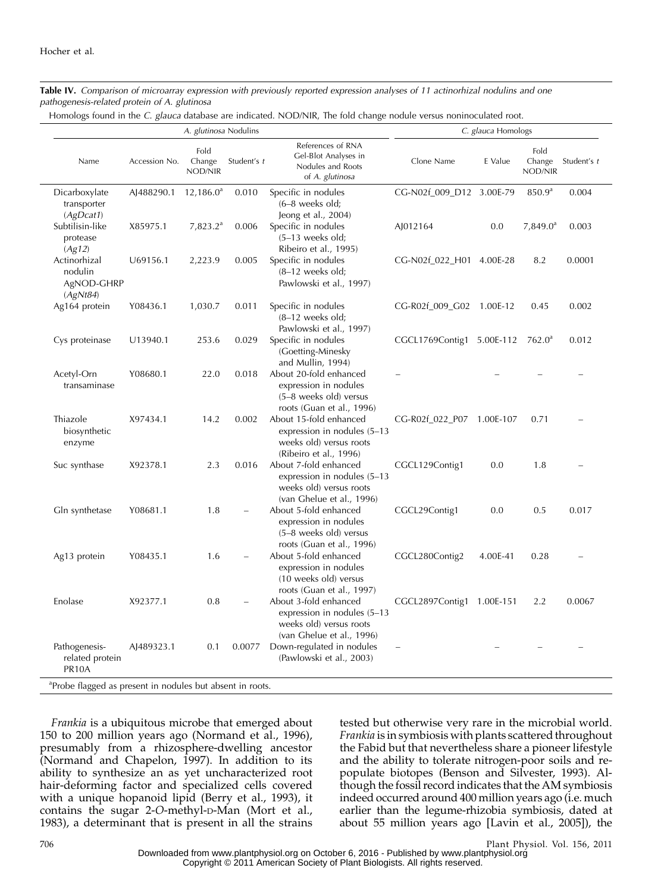Table IV. Comparison of microarray expression with previously reported expression analyses of 11 actinorhizal nodulins and one pathogenesis-related protein of A. glutinosa

|  | Homologs found in the C. glauca database are indicated. NOD/NIR, The fold change nodule versus noninoculated root. |
|--|--------------------------------------------------------------------------------------------------------------------|
|--|--------------------------------------------------------------------------------------------------------------------|

|                                                                                                                    | A. glutinosa Nodulins |                           |             |                                                                                                                                         |                           | C. glauca Homologs |                           |             |  |  |
|--------------------------------------------------------------------------------------------------------------------|-----------------------|---------------------------|-------------|-----------------------------------------------------------------------------------------------------------------------------------------|---------------------------|--------------------|---------------------------|-------------|--|--|
| Name                                                                                                               | Accession No.         | Fold<br>Change<br>NOD/NIR | Student's t | References of RNA<br>Gel-Blot Analyses in<br>Nodules and Roots<br>of A. glutinosa                                                       | Clone Name                | E Value            | Fold<br>Change<br>NOD/NIR | Student's t |  |  |
| Dicarboxylate<br>transporter                                                                                       | AJ488290.1            | $12,186.0^a$              | 0.010       | Specific in nodules<br>$(6-8$ weeks old;                                                                                                | CG-N02f_009_D12 3.00E-79  |                    | 850.9 <sup>a</sup>        | 0.004       |  |  |
| (AgDcat1)<br>Subtilisin-like<br>protease<br>(Ag12)                                                                 | X85975.1              | $7,823.2^a$               | 0.006       | Jeong et al., 2004)<br>Specific in nodules<br>$(5-13$ weeks old;<br>Ribeiro et al., 1995)                                               | AJ012164                  | 0.0                | $7,849.0^a$               | 0.003       |  |  |
| Actinorhizal<br>nodulin<br>AgNOD-GHRP<br>(AgNt84)                                                                  | U69156.1              | 2,223.9                   | 0.005       | Specific in nodules<br>(8-12 weeks old;<br>Pawlowski et al., 1997)                                                                      | CG-N02f_022_H01 4.00E-28  |                    | 8.2                       | 0.0001      |  |  |
| Ag164 protein                                                                                                      | Y08436.1              | 1,030.7                   | 0.011       | Specific in nodules<br>$(8-12$ weeks old;<br>Pawlowski et al., 1997)                                                                    | CG-R02f_009_G02           | 1.00E-12           | 0.45                      | 0.002       |  |  |
| Cys proteinase                                                                                                     | U13940.1              | 253.6                     | 0.029       | Specific in nodules<br>(Goetting-Minesky<br>and Mullin, 1994)                                                                           | CGCL1769Contig1 5.00E-112 |                    | $762.0^a$                 | 0.012       |  |  |
| Acetyl-Orn<br>transaminase                                                                                         | Y08680.1              | 22.0                      | 0.018       | About 20-fold enhanced<br>expression in nodules<br>(5-8 weeks old) versus                                                               |                           |                    |                           |             |  |  |
| Thiazole<br>biosynthetic<br>enzyme                                                                                 | X97434.1              | 14.2                      | 0.002       | roots (Guan et al., 1996)<br>About 15-fold enhanced<br>expression in nodules (5-13<br>weeks old) versus roots<br>(Ribeiro et al., 1996) | CG-R02f_022_P07 1.00E-107 |                    | 0.71                      |             |  |  |
| Suc synthase                                                                                                       | X92378.1              | 2.3                       | 0.016       | About 7-fold enhanced<br>expression in nodules (5-13<br>weeks old) versus roots<br>(van Ghelue et al., 1996)                            | CGCL129Contig1            | 0.0                | 1.8                       |             |  |  |
| Gln synthetase                                                                                                     | Y08681.1              | 1.8                       |             | About 5-fold enhanced<br>expression in nodules<br>(5-8 weeks old) versus<br>roots (Guan et al., 1996)                                   | CGCL29Contig1             | 0.0                | 0.5                       | 0.017       |  |  |
| Ag13 protein                                                                                                       | Y08435.1              | 1.6                       |             | About 5-fold enhanced<br>expression in nodules<br>(10 weeks old) versus<br>roots (Guan et al., 1997)                                    | CGCL280Contig2            | 4.00E-41           | 0.28                      |             |  |  |
| Enolase                                                                                                            | X92377.1              | 0.8                       |             | About 3-fold enhanced<br>expression in nodules (5-13<br>weeks old) versus roots<br>(van Ghelue et al., 1996)                            | CGCL2897Contig1 1.00E-151 |                    | 2.2                       | 0.0067      |  |  |
| Pathogenesis-<br>related protein<br>PR10A<br><sup>a</sup> Probe flagged as present in nodules but absent in roots. | AJ489323.1            | 0.1                       | 0.0077      | Down-regulated in nodules<br>(Pawlowski et al., 2003)                                                                                   |                           |                    |                           |             |  |  |

Frankia is a ubiquitous microbe that emerged about 150 to 200 million years ago (Normand et al., 1996), presumably from a rhizosphere-dwelling ancestor (Normand and Chapelon, 1997). In addition to its ability to synthesize an as yet uncharacterized root hair-deforming factor and specialized cells covered with a unique hopanoid lipid (Berry et al., 1993), it contains the sugar 2-O-methyl-D-Man (Mort et al., 1983), a determinant that is present in all the strains tested but otherwise very rare in the microbial world. Frankia is in symbiosis with plants scattered throughout the Fabid but that nevertheless share a pioneer lifestyle and the ability to tolerate nitrogen-poor soils and repopulate biotopes (Benson and Silvester, 1993). Although the fossil record indicates that the AM symbiosis indeed occurred around 400 million years ago (i.e. much earlier than the legume-rhizobia symbiosis, dated at about 55 million years ago [Lavin et al., 2005]), the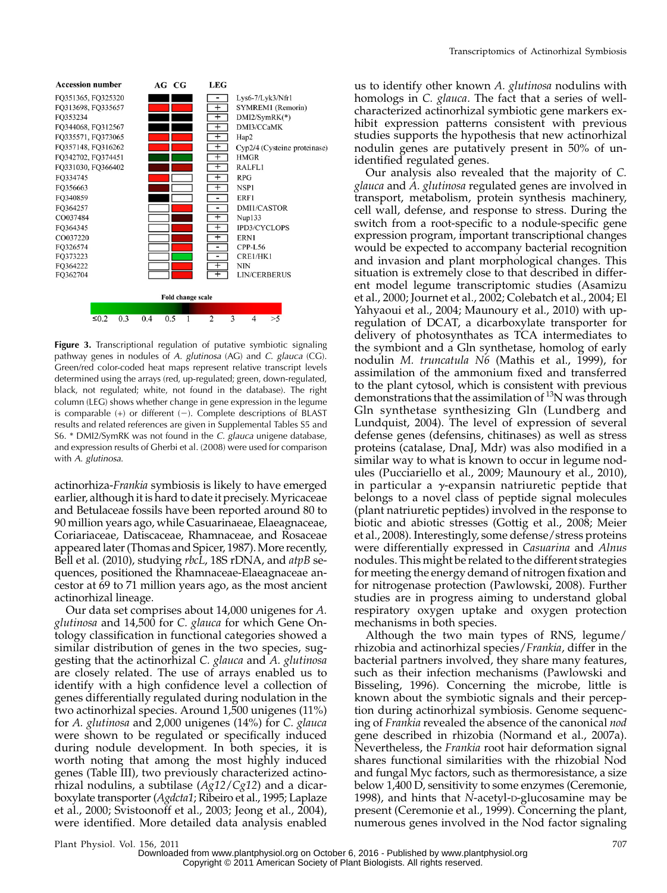

Figure 3. Transcriptional regulation of putative symbiotic signaling pathway genes in nodules of A. glutinosa (AG) and C. glauca (CG). Green/red color-coded heat maps represent relative transcript levels determined using the arrays (red, up-regulated; green, down-regulated, black, not regulated; white, not found in the database). The right column (LEG) shows whether change in gene expression in the legume is comparable  $(+)$  or different  $(-)$ . Complete descriptions of BLAST results and related references are given in Supplemental Tables S5 and S6. \* DMI2/SymRK was not found in the C. glauca unigene database, and expression results of Gherbi et al. (2008) were used for comparison with A. glutinosa.

actinorhiza-Frankia symbiosis is likely to have emerged earlier, although it is hard to date it precisely. Myricaceae and Betulaceae fossils have been reported around 80 to 90 million years ago, while Casuarinaeae, Elaeagnaceae, Coriariaceae, Datiscaceae, Rhamnaceae, and Rosaceae appeared later (Thomas and Spicer, 1987). More recently, Bell et al. (2010), studying *rbcL*, 18S rDNA, and *atpB* sequences, positioned the Rhamnaceae-Elaeagnaceae ancestor at 69 to 71 million years ago, as the most ancient actinorhizal lineage.

Our data set comprises about 14,000 unigenes for A. glutinosa and 14,500 for C. glauca for which Gene Ontology classification in functional categories showed a similar distribution of genes in the two species, suggesting that the actinorhizal C. glauca and A. glutinosa are closely related. The use of arrays enabled us to identify with a high confidence level a collection of genes differentially regulated during nodulation in the two actinorhizal species. Around 1,500 unigenes (11%) for A. glutinosa and 2,000 unigenes (14%) for C. glauca were shown to be regulated or specifically induced during nodule development. In both species, it is worth noting that among the most highly induced genes (Table III), two previously characterized actinorhizal nodulins, a subtilase  $(Ag12/Cg12)$  and a dicarboxylate transporter (Agdcta1; Ribeiro et al., 1995; Laplaze et al., 2000; Svistoonoff et al., 2003; Jeong et al., 2004), were identified. More detailed data analysis enabled

us to identify other known A. glutinosa nodulins with homologs in C. glauca. The fact that a series of wellcharacterized actinorhizal symbiotic gene markers exhibit expression patterns consistent with previous studies supports the hypothesis that new actinorhizal nodulin genes are putatively present in 50% of unidentified regulated genes.

Our analysis also revealed that the majority of C. glauca and A. glutinosa regulated genes are involved in transport, metabolism, protein synthesis machinery, cell wall, defense, and response to stress. During the switch from a root-specific to a nodule-specific gene expression program, important transcriptional changes would be expected to accompany bacterial recognition and invasion and plant morphological changes. This situation is extremely close to that described in different model legume transcriptomic studies (Asamizu et al., 2000; Journet et al., 2002; Colebatch et al., 2004; El Yahyaoui et al., 2004; Maunoury et al., 2010) with upregulation of DCAT, a dicarboxylate transporter for delivery of photosynthates as TCA intermediates to the symbiont and a Gln synthetase, homolog of early nodulin M. truncatula N6 (Mathis et al., 1999), for assimilation of the ammonium fixed and transferred to the plant cytosol, which is consistent with previous demonstrations that the assimilation of  $^{13}N$  was through Gln synthetase synthesizing Gln (Lundberg and Lundquist, 2004). The level of expression of several defense genes (defensins, chitinases) as well as stress proteins (catalase, DnaJ, Mdr) was also modified in a similar way to what is known to occur in legume nodules (Pucciariello et al., 2009; Maunoury et al., 2010), in particular a  $\gamma$ -expansin natriuretic peptide that belongs to a novel class of peptide signal molecules (plant natriuretic peptides) involved in the response to biotic and abiotic stresses (Gottig et al., 2008; Meier et al., 2008). Interestingly, some defense/stress proteins were differentially expressed in Casuarina and Alnus nodules. This might be related to the different strategies for meeting the energy demand of nitrogen fixation and for nitrogenase protection (Pawlowski, 2008). Further studies are in progress aiming to understand global respiratory oxygen uptake and oxygen protection mechanisms in both species.

Although the two main types of RNS, legume/ rhizobia and actinorhizal species/Frankia, differ in the bacterial partners involved, they share many features, such as their infection mechanisms (Pawlowski and Bisseling, 1996). Concerning the microbe, little is known about the symbiotic signals and their perception during actinorhizal symbiosis. Genome sequencing of Frankia revealed the absence of the canonical nod gene described in rhizobia (Normand et al., 2007a). Nevertheless, the Frankia root hair deformation signal shares functional similarities with the rhizobial Nod and fungal Myc factors, such as thermoresistance, a size below 1,400 D, sensitivity to some enzymes (Ceremonie, 1998), and hints that N-acetyl-D-glucosamine may be present (Ceremonie et al., 1999). Concerning the plant, numerous genes involved in the Nod factor signaling

Plant Physiol. Vol. 156, 2011 707 Downloaded from [www.plantphysiol.org](http://www.plantphysiol.org/) on October 6, 2016 - Published by [www.plantphysiol.org](http://www.plantphysiol.org) Copyright © 2011 American Society of Plant Biologists. All rights reserved.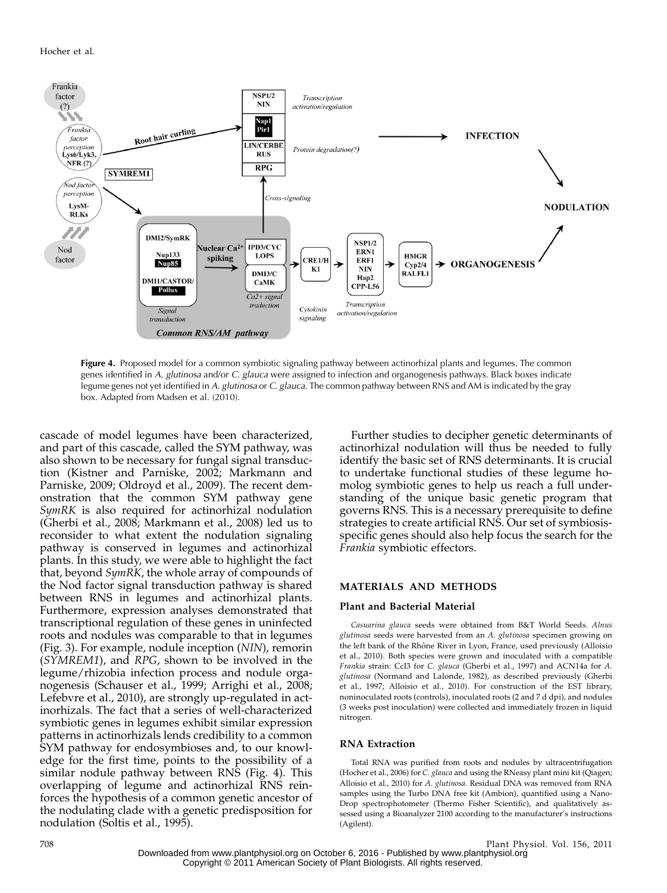

**Figure 4.** Proposed model for a common symbiotic signaling pathway between actinorhizal plants and legumes. The common genes identified in A. glutinosa and/or C. glauca were assigned to infection and organogenesis pathways. Black boxes indicate legume genes not yet identified in A. glutinosa or C. glauca. The common pathway between RNS and AM is indicated by the gray box. Adapted from Madsen et al. (2010).

cascade of model legumes have been characterized, and part of this cascade, called the SYM pathway, was also shown to be necessary for fungal signal transduction (Kistner and Parniske, 2002; Markmann and Parniske, 2009; Oldroyd et al., 2009). The recent demonstration that the common SYM pathway gene SymRK is also required for actinorhizal nodulation (Gherbi et al., 2008; Markmann et al., 2008) led us to reconsider to what extent the nodulation signaling pathway is conserved in legumes and actinorhizal plants. In this study, we were able to highlight the fact that, beyond SymRK, the whole array of compounds of the Nod factor signal transduction pathway is shared between RNS in legumes and actinorhizal plants. Furthermore, expression analyses demonstrated that transcriptional regulation of these genes in uninfected roots and nodules was comparable to that in legumes (Fig. 3). For example, nodule inception (NIN), remorin (SYMREM1), and RPG, shown to be involved in the legume/rhizobia infection process and nodule organogenesis (Schauser et al., 1999; Arrighi et al., 2008; Lefebvre et al., 2010), are strongly up-regulated in actinorhizals. The fact that a series of well-characterized symbiotic genes in legumes exhibit similar expression patterns in actinorhizals lends credibility to a common SYM pathway for endosymbioses and, to our knowledge for the first time, points to the possibility of a similar nodule pathway between RNS (Fig. 4). This overlapping of legume and actinorhizal RNS reinforces the hypothesis of a common genetic ancestor of the nodulating clade with a genetic predisposition for nodulation (Soltis et al., 1995).

Further studies to decipher genetic determinants of actinorhizal nodulation will thus be needed to fully identify the basic set of RNS determinants. It is crucial to undertake functional studies of these legume homolog symbiotic genes to help us reach a full understanding of the unique basic genetic program that governs RNS. This is a necessary prerequisite to define strategies to create artificial RNS. Our set of symbiosisspecific genes should also help focus the search for the Frankia symbiotic effectors.

## MATERIALS AND METHODS

#### Plant and Bacterial Material

Casuarina glauca seeds were obtained from B&T World Seeds. Alnus glutinosa seeds were harvested from an A. glutinosa specimen growing on the left bank of the Rhône River in Lyon, France, used previously (Alloisio et al., 2010). Both species were grown and inoculated with a compatible Frankia strain: CcI3 for C. glauca (Gherbi et al., 1997) and ACN14a for A. glutinosa (Normand and Lalonde, 1982), as described previously (Gherbi et al., 1997; Alloisio et al., 2010). For construction of the EST library, noninoculated roots (controls), inoculated roots (2 and 7 d dpi), and nodules (3 weeks post inoculation) were collected and immediately frozen in liquid nitrogen.

#### RNA Extraction

Total RNA was purified from roots and nodules by ultracentrifugation (Hocher et al., 2006) for C. glauca and using the RNeasy plant mini kit (Qiagen; Alloisio et al., 2010) for A. glutinosa. Residual DNA was removed from RNA samples using the Turbo DNA free kit (Ambion), quantified using a Nano-Drop spectrophotometer (Thermo Fisher Scientific), and qualitatively assessed using a Bioanalyzer 2100 according to the manufacturer's instructions (Agilent).

708 Plant Physiol. Vol. 156, 2011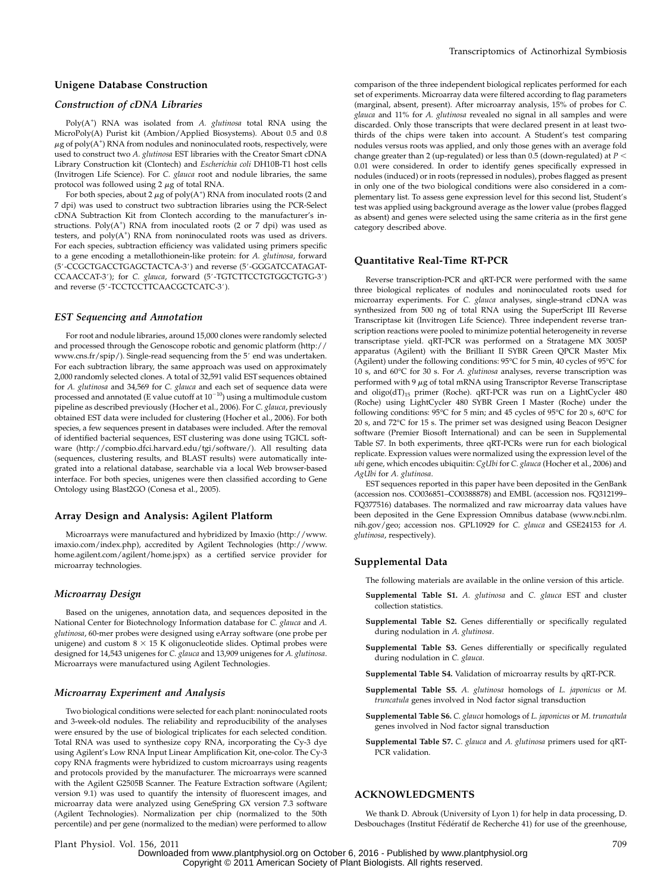### Unigene Database Construction

#### Construction of cDNA Libraries

 $Poly(A^+)$  RNA was isolated from A. glutinosa total RNA using the MicroPoly(A) Purist kit (Ambion/Applied Biosystems). About 0.5 and 0.8  $\mu$ g of poly(A<sup>+</sup>) RNA from nodules and noninoculated roots, respectively, were<br>used to construct two A *clutines* EST libraries with the Croater Smart cDNA used to construct two A. glutinosa EST libraries with the Creator Smart cDNA Library Construction kit (Clontech) and Escherichia coli DH10B-T1 host cells (Invitrogen Life Science). For C. glauca root and nodule libraries, the same protocol was followed using  $2 \mu$ g of total RNA.

For both species, about 2  $\mu$ g of poly(A<sup>+</sup>) RNA from inoculated roots (2 and pi) was used to construct two subtraction libraries wing the PCP Selection 7 dpi) was used to construct two subtraction libraries using the PCR-Select cDNA Subtraction Kit from Clontech according to the manufacturer's instructions. Poly(A<sup>+</sup>) RNA from inoculated roots (2 or 7 dpi) was used as testers, and  $poly(A<sup>+</sup>)$  RNA from noninoculated roots was used as drivers. For each species, subtraction efficiency was validated using primers specific to a gene encoding a metallothionein-like protein: for A. glutinosa, forward (5'-CCGCTGACCTGAGCTACTCA-3') and reverse (5'-GGGATCCATAGAT-CCAACCAT-3'); for C. glauca, forward (5'-TGTCTTCCTGTGGCTGTG-3') and reverse (5'-TCCTCCTTCAACGCTCATC-3').

#### EST Sequencing and Annotation

For root and nodule libraries, around 15,000 clones were randomly selected and processed through the Genoscope robotic and genomic platform (http:// www.cns.fr/spip/). Single-read sequencing from the 5' end was undertaken. For each subtraction library, the same approach was used on approximately 2,000 randomly selected clones. A total of 32,591 valid EST sequences obtained for A. glutinosa and 34,569 for C. glauca and each set of sequence data were processed and annotated (E value cutoff at  $10^{-10}$ ) using a multimodule custom pipeline as described previously (Hocher et al., 2006). For C. glauca, previously obtained EST data were included for clustering (Hocher et al., 2006). For both species, a few sequences present in databases were included. After the removal of identified bacterial sequences, EST clustering was done using TGICL software (http://compbio.dfci.harvard.edu/tgi/software/). All resulting data (sequences, clustering results, and BLAST results) were automatically integrated into a relational database, searchable via a local Web browser-based interface. For both species, unigenes were then classified according to Gene Ontology using Blast2GO (Conesa et al., 2005).

#### Array Design and Analysis: Agilent Platform

Microarrays were manufactured and hybridized by Imaxio (http://www. imaxio.com/index.php), accredited by Agilent Technologies (http://www. home.agilent.com/agilent/home.jspx) as a certified service provider for microarray technologies.

#### Microarray Design

Based on the unigenes, annotation data, and sequences deposited in the National Center for Biotechnology Information database for C. glauca and A. glutinosa, 60-mer probes were designed using eArray software (one probe per unigene) and custom  $8 \times 15$  K oligonucleotide slides. Optimal probes were designed for 14,543 unigenes for C. glauca and 13,909 unigenes for A. glutinosa. Microarrays were manufactured using Agilent Technologies.

#### Microarray Experiment and Analysis

Two biological conditions were selected for each plant: noninoculated roots and 3-week-old nodules. The reliability and reproducibility of the analyses were ensured by the use of biological triplicates for each selected condition. Total RNA was used to synthesize copy RNA, incorporating the Cy-3 dye using Agilent's Low RNA Input Linear Amplification Kit, one-color. The Cy-3 copy RNA fragments were hybridized to custom microarrays using reagents and protocols provided by the manufacturer. The microarrays were scanned with the Agilent G2505B Scanner. The Feature Extraction software (Agilent; version 9.1) was used to quantify the intensity of fluorescent images, and microarray data were analyzed using GeneSpring GX version 7.3 software (Agilent Technologies). Normalization per chip (normalized to the 50th percentile) and per gene (normalized to the median) were performed to allow

comparison of the three independent biological replicates performed for each set of experiments. Microarray data were filtered according to flag parameters (marginal, absent, present). After microarray analysis, 15% of probes for C. glauca and 11% for A. glutinosa revealed no signal in all samples and were discarded. Only those transcripts that were declared present in at least twothirds of the chips were taken into account. A Student's test comparing nodules versus roots was applied, and only those genes with an average fold change greater than 2 (up-regulated) or less than 0.5 (down-regulated) at  $P <$ 0.01 were considered. In order to identify genes specifically expressed in nodules (induced) or in roots (repressed in nodules), probes flagged as present in only one of the two biological conditions were also considered in a complementary list. To assess gene expression level for this second list, Student's test was applied using background average as the lower value (probes flagged as absent) and genes were selected using the same criteria as in the first gene category described above.

#### Quantitative Real-Time RT-PCR

Reverse transcription-PCR and qRT-PCR were performed with the same three biological replicates of nodules and noninoculated roots used for microarray experiments. For C. glauca analyses, single-strand cDNA was synthesized from 500 ng of total RNA using the SuperScript III Reverse Transcriptase kit (Invitrogen Life Science). Three independent reverse transcription reactions were pooled to minimize potential heterogeneity in reverse transcriptase yield. qRT-PCR was performed on a Stratagene MX 3005P apparatus (Agilent) with the Brilliant II SYBR Green QPCR Master Mix (Agilent) under the following conditions:  $95^{\circ}$ C for 5 min, 40 cycles of  $95^{\circ}$ C for 10 s, and 60°C for 30 s. For A. glutinosa analyses, reverse transcription was performed with 9  $\mu{\rm g}$  of total mRNA using Transcriptor Reverse Transcriptase and oligo(dT)<sub>15</sub> primer (Roche). qRT-PCR was run on a LightCycler 480 (Roche) using LightCycler 480 SYBR Green I Master (Roche) under the following conditions: 95°C for 5 min; and 45 cycles of 95°C for 20 s, 60°C for 20 s, and 72°C for 15 s. The primer set was designed using Beacon Designer software (Premier Biosoft International) and can be seen in Supplemental Table S7. In both experiments, three qRT-PCRs were run for each biological replicate. Expression values were normalized using the expression level of the ubi gene, which encodes ubiquitin: CgUbi for C. glauca (Hocher et al., 2006) and AgUbi for A. glutinosa.

EST sequences reported in this paper have been deposited in the GenBank (accession nos. CO036851–CO0388878) and EMBL (accession nos. FQ312199– FQ377516) databases. The normalized and raw microarray data values have been deposited in the Gene Expression Omnibus database (www.ncbi.nlm. nih.gov/geo; accession nos. GPL10929 for C. glauca and GSE24153 for A. glutinosa, respectively).

#### Supplemental Data

The following materials are available in the online version of this article.

- Supplemental Table S1. A. glutinosa and C. glauca EST and cluster collection statistics.
- Supplemental Table S2. Genes differentially or specifically regulated during nodulation in A. glutinosa.
- Supplemental Table S3. Genes differentially or specifically regulated during nodulation in C. glauca.
- Supplemental Table S4. Validation of microarray results by qRT-PCR.
- Supplemental Table S5. A. glutinosa homologs of L. japonicus or M. truncatula genes involved in Nod factor signal transduction
- Supplemental Table S6. C. glauca homologs of L. japonicus or M. truncatula genes involved in Nod factor signal transduction
- Supplemental Table S7. C. glauca and A. glutinosa primers used for qRT-PCR validation.

## ACKNOWLEDGMENTS

We thank D. Abrouk (University of Lyon 1) for help in data processing, D. Desbouchages (Institut Fédératif de Recherche 41) for use of the greenhouse,

Plant Physiol. Vol. 156, 2011 709

Downloaded from [www.plantphysiol.org](http://www.plantphysiol.org/) on October 6, 2016 - Published by [www.plantphysiol.org](http://www.plantphysiol.org) Copyright © 2011 American Society of Plant Biologists. All rights reserved.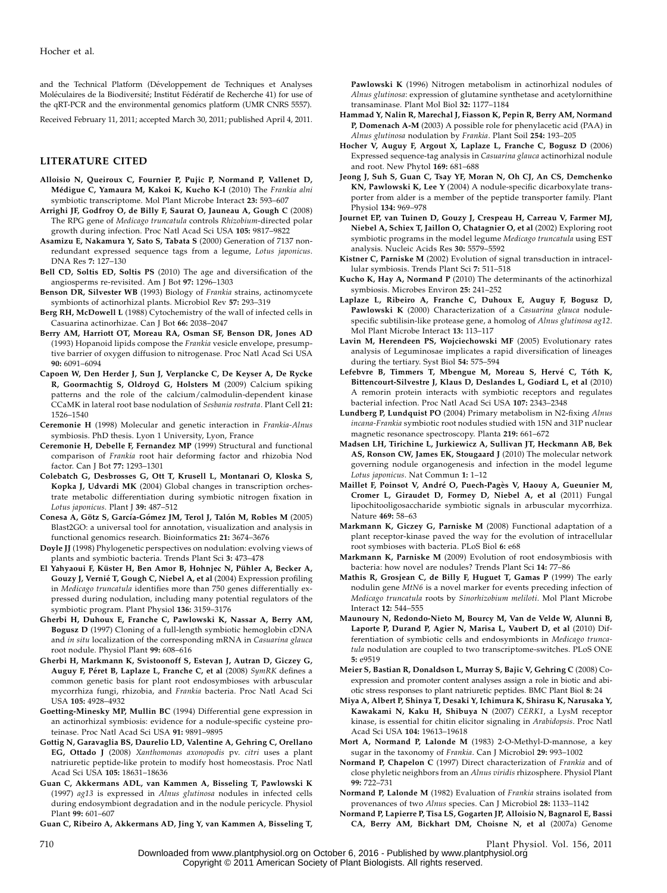and the Technical Platform (Développement de Techniques et Analyses Moléculaires de la Biodiversité; Institut Fédératif de Recherche 41) for use of the qRT-PCR and the environmental genomics platform (UMR CNRS 5557).

Received February 11, 2011; accepted March 30, 2011; published April 4, 2011.

## LITERATURE CITED

- Alloisio N, Queiroux C, Fournier P, Pujic P, Normand P, Vallenet D, Médigue C, Yamaura M, Kakoi K, Kucho K-I (2010) The Frankia alni symbiotic transcriptome. Mol Plant Microbe Interact 23: 593–607
- Arrighi JF, Godfroy O, de Billy F, Saurat O, Jauneau A, Gough C (2008) The RPG gene of Medicago truncatula controls Rhizobium-directed polar growth during infection. Proc Natl Acad Sci USA 105: 9817–9822
- Asamizu E, Nakamura Y, Sato S, Tabata S (2000) Generation of 7137 nonredundant expressed sequence tags from a legume, Lotus japonicus. DNA Res 7: 127–130
- Bell CD, Soltis ED, Soltis PS (2010) The age and diversification of the angiosperms re-revisited. Am J Bot 97: 1296–1303
- Benson DR, Silvester WB (1993) Biology of Frankia strains, actinomycete symbionts of actinorhizal plants. Microbiol Rev 57: 293–319
- Berg RH, McDowell L (1988) Cytochemistry of the wall of infected cells in Casuarina actinorhizae. Can J Bot 66: 2038–2047
- Berry AM, Harriott OT, Moreau RA, Osman SF, Benson DR, Jones AD (1993) Hopanoid lipids compose the Frankia vesicle envelope, presumptive barrier of oxygen diffusion to nitrogenase. Proc Natl Acad Sci USA 90: 6091–6094
- Capoen W, Den Herder J, Sun J, Verplancke C, De Keyser A, De Rycke R, Goormachtig S, Oldroyd G, Holsters M (2009) Calcium spiking patterns and the role of the calcium/calmodulin-dependent kinase CCaMK in lateral root base nodulation of Sesbania rostrata. Plant Cell 21: 1526–1540
- Ceremonie H (1998) Molecular and genetic interaction in Frankia-Alnus symbiosis. PhD thesis. Lyon 1 University, Lyon, France
- Ceremonie H, Debelle F, Fernandez MP (1999) Structural and functional comparison of Frankia root hair deforming factor and rhizobia Nod factor. Can J Bot 77: 1293–1301
- Colebatch G, Desbrosses G, Ott T, Krusell L, Montanari O, Kloska S, Kopka J, Udvardi MK (2004) Global changes in transcription orchestrate metabolic differentiation during symbiotic nitrogen fixation in Lotus japonicus. Plant J 39: 487-512
- Conesa A, Götz S, García-Gómez JM, Terol J, Talón M, Robles M (2005) Blast2GO: a universal tool for annotation, visualization and analysis in functional genomics research. Bioinformatics 21: 3674–3676
- Doyle JJ (1998) Phylogenetic perspectives on nodulation: evolving views of plants and symbiotic bacteria. Trends Plant Sci 3: 473–478
- El Yahyaoui F, Küster H, Ben Amor B, Hohnjec N, Pühler A, Becker A, Gouzy J, Vernié T, Gough C, Niebel A, et al (2004) Expression profiling in Medicago truncatula identifies more than 750 genes differentially expressed during nodulation, including many potential regulators of the symbiotic program. Plant Physiol 136: 3159–3176
- Gherbi H, Duhoux E, Franche C, Pawlowski K, Nassar A, Berry AM, Bogusz D (1997) Cloning of a full-length symbiotic hemoglobin cDNA and in situ localization of the corresponding mRNA in Casuarina glauca root nodule. Physiol Plant 99: 608–616
- Gherbi H, Markmann K, Svistoonoff S, Estevan J, Autran D, Giczey G, Auguy F, Péret B, Laplaze L, Franche C, et al (2008) SymRK defines a common genetic basis for plant root endosymbioses with arbuscular mycorrhiza fungi, rhizobia, and Frankia bacteria. Proc Natl Acad Sci USA 105: 4928–4932
- Goetting-Minesky MP, Mullin BC (1994) Differential gene expression in an actinorhizal symbiosis: evidence for a nodule-specific cysteine proteinase. Proc Natl Acad Sci USA 91: 9891–9895
- Gottig N, Garavaglia BS, Daurelio LD, Valentine A, Gehring C, Orellano EG, Ottado J (2008) Xanthomonas axonopodis pv. citri uses a plant natriuretic peptide-like protein to modify host homeostasis. Proc Natl Acad Sci USA 105: 18631–18636
- Guan C, Akkermans ADL, van Kammen A, Bisseling T, Pawlowski K (1997) ag13 is expressed in Alnus glutinosa nodules in infected cells during endosymbiont degradation and in the nodule pericycle. Physiol Plant 99: 601–607

Guan C, Ribeiro A, Akkermans AD, Jing Y, van Kammen A, Bisseling T,

Pawlowski K (1996) Nitrogen metabolism in actinorhizal nodules of Alnus glutinosa: expression of glutamine synthetase and acetylornithine transaminase. Plant Mol Biol 32: 1177–1184

- Hammad Y, Nalin R, Marechal J, Fiasson K, Pepin R, Berry AM, Normand P, Domenach A-M (2003) A possible role for phenylacetic acid (PAA) in Alnus glutinosa nodulation by Frankia. Plant Soil 254: 193-205
- Hocher V, Auguy F, Argout X, Laplaze L, Franche C, Bogusz D (2006) Expressed sequence-tag analysis in Casuarina glauca actinorhizal nodule and root. New Phytol 169: 681–688
- Jeong J, Suh S, Guan C, Tsay YF, Moran N, Oh CJ, An CS, Demchenko KN, Pawlowski K, Lee Y (2004) A nodule-specific dicarboxylate transporter from alder is a member of the peptide transporter family. Plant Physiol 134: 969–978
- Journet EP, van Tuinen D, Gouzy J, Crespeau H, Carreau V, Farmer MJ, Niebel A, Schiex T, Jaillon O, Chatagnier O, et al (2002) Exploring root symbiotic programs in the model legume Medicago truncatula using EST analysis. Nucleic Acids Res 30: 5579–5592
- Kistner C, Parniske M (2002) Evolution of signal transduction in intracellular symbiosis. Trends Plant Sci 7: 511–518
- Kucho K, Hay A, Normand P (2010) The determinants of the actinorhizal symbiosis. Microbes Environ 25: 241–252
- Laplaze L, Ribeiro A, Franche C, Duhoux E, Auguy F, Bogusz D, Pawlowski K (2000) Characterization of a Casuarina glauca nodulespecific subtilisin-like protease gene, a homolog of Alnus glutinosa ag12. Mol Plant Microbe Interact 13: 113–117
- Lavin M, Herendeen PS, Wojciechowski MF (2005) Evolutionary rates analysis of Leguminosae implicates a rapid diversification of lineages during the tertiary. Syst Biol 54: 575–594
- Lefebvre B, Timmers T, Mbengue M, Moreau S, Hervé C, Tóth K, Bittencourt-Silvestre J, Klaus D, Deslandes L, Godiard L, et al (2010) A remorin protein interacts with symbiotic receptors and regulates bacterial infection. Proc Natl Acad Sci USA 107: 2343–2348
- Lundberg P, Lundquist PO (2004) Primary metabolism in N2-fixing Alnus incana-Frankia symbiotic root nodules studied with 15N and 31P nuclear magnetic resonance spectroscopy. Planta 219: 661–672
- Madsen LH, Tirichine L, Jurkiewicz A, Sullivan JT, Heckmann AB, Bek AS, Ronson CW, James EK, Stougaard J (2010) The molecular network governing nodule organogenesis and infection in the model legume Lotus japonicus. Nat Commun 1: 1–12
- Maillet F, Poinsot V, André O, Puech-Pagès V, Haouy A, Gueunier M, Cromer L, Giraudet D, Formey D, Niebel A, et al (2011) Fungal lipochitooligosaccharide symbiotic signals in arbuscular mycorrhiza. Nature 469: 58–63
- Markmann K, Giczey G, Parniske M (2008) Functional adaptation of a plant receptor-kinase paved the way for the evolution of intracellular root symbioses with bacteria. PLoS Biol 6: e68
- Markmann K, Parniske M (2009) Evolution of root endosymbiosis with bacteria: how novel are nodules? Trends Plant Sci 14: 77–86
- Mathis R, Grosjean C, de Billy F, Huguet T, Gamas P (1999) The early nodulin gene MtN6 is a novel marker for events preceding infection of Medicago truncatula roots by Sinorhizobium meliloti. Mol Plant Microbe Interact 12: 544–555
- Maunoury N, Redondo-Nieto M, Bourcy M, Van de Velde W, Alunni B, Laporte P, Durand P, Agier N, Marisa L, Vaubert D, et al (2010) Differentiation of symbiotic cells and endosymbionts in Medicago truncatula nodulation are coupled to two transcriptome-switches. PLoS ONE 5: e9519
- Meier S, Bastian R, Donaldson L, Murray S, Bajic V, Gehring C (2008) Coexpression and promoter content analyses assign a role in biotic and abiotic stress responses to plant natriuretic peptides. BMC Plant Biol 8: 24
- Miya A, Albert P, Shinya T, Desaki Y, Ichimura K, Shirasu K, Narusaka Y, Kawakami N, Kaku H, Shibuya N (2007) CERK1, a LysM receptor kinase, is essential for chitin elicitor signaling in Arabidopsis. Proc Natl Acad Sci USA 104: 19613–19618
- Mort A, Normand P, Lalonde M (1983) 2-O-Methyl-D-mannose, a key sugar in the taxonomy of Frankia. Can J Microbiol 29: 993–1002
- Normand P, Chapelon C (1997) Direct characterization of Frankia and of close phyletic neighbors from an Alnus viridis rhizosphere. Physiol Plant 99: 722–731
- Normand P, Lalonde M (1982) Evaluation of Frankia strains isolated from provenances of two Alnus species. Can J Microbiol 28: 1133–1142
- Normand P, Lapierre P, Tisa LS, Gogarten JP, Alloisio N, Bagnarol E, Bassi CA, Berry AM, Bickhart DM, Choisne N, et al (2007a) Genome

710 Plant Physiol. Vol. 156, 2011

Downloaded from [www.plantphysiol.org](http://www.plantphysiol.org/) on October 6, 2016 - Published by [www.plantphysiol.org](http://www.plantphysiol.org) Copyright © 2011 American Society of Plant Biologists. All rights reserved.